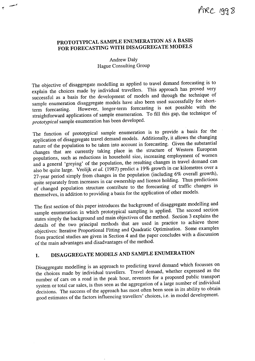## PROTOTYPICAL SAMPLE ENUMERATION AS A BASIS FOR FORECASTING WITH DISAGGREGATE MODELS

#### Andrew DalY Hague Consulting GrouP

The objective of disaggregate modelling as applied to travel demand forecasting is to explain the choices made by individual travellers. This approach has proved very successful as a basis for the development of models and through the technique of sample enumeration disaggregate models have also been used successfully for short-<br>term forecasting. However, longer-term forecasting is not possible with the However, longer-term forecasting is not possible with the straightforward applications of sample enumeration. To fill this gap, the technique of prototypical sample enumeration has been developed.

The function of prototypical sample enumeration is to provide- a basis for the application of disaggregate travel demand models. Additionally, it allows the changing nature of the population to be taken into account in forecasting. Given the substantial changes that are currently taking place in the structure of Western European popufations, such as reductions in household size, increasing employment of women and a general 'greying' of the population, the resulting changes in travel demand can also be quite large. Vrolijk et al. (1987) predict a 19% growth in car kilometres over a  $27$ -year period simply from changes in the population (including 6% overall growth), quite separately from increases in car ownership and licence holding. Thus predictions of changed population structure contribute to the forecasting of traffic changes in themselves, in addition to providing a basis for the application of other models'

The first section of this paper introduces the background of disaggregate modelling and sample enumeration in which prototypical sampling is applied. The second section states simply the background and main objectives of the method. Section 3 explains the details of the two principal methods that are used in practice to achieve those objectives: Iterative Proportional Fitting and Quadratic Optimisation. Some examples from practical studies are given in Section 4 and the paper concludes with a discussion of the main advantages and disadvantages of the method.

# 1. DISAGGREGATE MODELS AND SAMPLE ENUMERATION

Disaggregate modelling is an approach to predicting travel demand which focusses on the choices made by individual travellers. Travel demand, whether expressed as the number of cars on a road in the peak hour, revenues for a proposed public transport system or total car sales, is thus seen as the aggregation of a large number of individual decisions. The success of the approach has most often been seen in its ability to obtain good estimates of the factors influencing travellers' choices, i.e. in model development.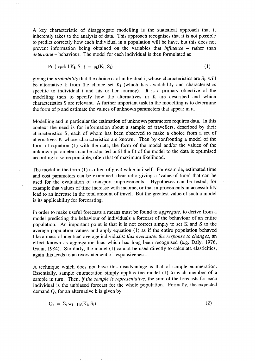A key characteristic of disaggregate modelling is the statistical approach that it inherently takes to the analysis of data. This approach recognises that it is not possible to predict correctly how each individual in a population will be have, but this does not prevent information being obtained on the variables that *influence*  $-$  rather than determine – behaviour. The model for each individual is then formulated as

 $Pr\{c_i = k \mid K_i, S_i\} = p_k(K_i, S_i)$ (1)

giving the *probability* that the choice  $c_i$  of individual i, whose characteristics are  $S_i$ , will be alternative k from the choice set  $K_i$  (which has availability and characteristics specific to individual i and his or her journey). It is a primary objective of the modelling then to specify how the alternatives in K are described and which characteristics S are relevant. A further important task in the modelling is to determine the form of p and estimate the values of unknown parameters that appear in it.

Modelling and in particular the estimation of unknown parameters requires data. In this context the need is for information about a sample of travellers, described by their characteristics S, each of whom has been observed to make a choice from a set of alternatives K whose characteristics are known. Then by confronting a model of the form of equation (1) with the data, the form of the model and/or the values of the unknown parameters can be adjusted until the fit of the model to the data is optimised according to some principle, often that of maximum likelihood.

The model in the form (1) is often of great value in itself. For example, estimated time and cost parameters can be examined, their ratio giving a 'value of time' that can be used for the evaluation of transport improvements. Hypotheses can be tested, for example that values of time increase with income, or that improvements in accessibility lead to an increase in the total amount of travel. But the greatest value of such a model is its applicability for forecasting.

In order to make useful forecasts a means must be found to *aggregate*, to derive from a model predicting the behaviour of individuals a forecast of the behaviour of an entire population. An important point is that it is not correct simply to set K and S to the average population values and apply equation (1) as if the entire population behaved like a mass of identical average individuals: this overstates the response to changes, an effect known as aggregation bias which has long been recognised (e.g. Daly, 1976, Gunn, 1984). Similarly, the model (1) cannot be used directly to calculate elasticities, again this leads to an overstatement of responsiveness.

A technique which does not have this disadvantage is that of sample enumeration. Essentially, sample enumeration simply applies the model (1) to each member of a sample in turn. Then, if the sample is representative, the sum of the forecasts for each individual is the unbiased forecast for the whole population. Formally, the expected demand  $Q_k$  for an alternative k is given by

$$
Q_k = \Sigma_i w_i \cdot p_k(K_i, S_i)
$$
 (2)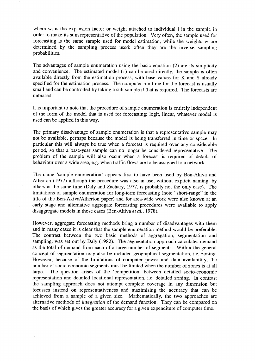where  $w_i$  is the expansion factor or weight attached to individual i in the sample in order to make its sum representative of the population. Very often, the sample used for forecasting is the same sample used for model estimation, while the weights w are determined by the sampling process used: often they are the inverse sampling probabilities.

The advantages of sample enumeration using the basic equation (2) are its simplicity and convenience. The estimated model (1) can be used directly, the sample is often available directly from the estimation process, with base values for K and S already specified for the estimation process. The computer run time for the forecast is usually small and can be controlled by taking a sub-sample if that is required. The forecasts are unbiased.

It is important to note that the procedure of sample enumeration is entirely independent of the form of the model that is used for forecasting: logit, linear, whatever model is used can be applied in this way.

The primary disadvantage of sample enumeration is that a representative sample may not be available, perhaps because the model is being transferred in time or space. In particular this will always be true when a forecast is required over any considerable period, so that a base-year sample can no longer be considered representative. The problem of the sample will also occur when a forecast is required of details of behaviour over a wide area, e.g. when traffic flows are to be assigned to a network.

The name 'sample enumeration' appears first to have been used by Ben-Akiva and Atherton (1977) although the procedure was also in use, without explicit naming, by others at the same time (Daly and Zachary, 1977, is probably not the only case). The limitations of sample enumeration for long-term forecasting (note "short-range" in the title of the Ben-Akiva/Atherton paper) and for area-wide work were also known at an early stage and alternative aggregate forecasting procedures were available to apply disaggregate models in those cases (Ben-Akiva et al., 1978).

However, aggregate forecasting methods bring a number of disadvantages with them and in many cases it is clear that the sample enumeration method would be preferable. The contrast between the two basic methods of aggregation, segmentation and sampling, was set out by Daly (1982). The segmentation approach calculates demand as the total of demand from each of a large number of segments. Within the general concept of segmentation may also be included geographical segmentation, i.e. zoning. However, because of the limitations of computer power and data availability, the number of socio-economic segments must be limited when the number of zones is at all large. The question arises of the 'competition' between detailed socio-economic representation and detailed locational representation, i.e. detailed zoning. In contrast the sampling approach does not attempt complete coverage in any dimension but focusses instead on representativeness and maximising the accuracy that can be achieved from a sample of a given size. Mathematically, the two approaches are alternative methods of integration of the demand function. They can be compared on the basis of which gives the greater accuracy for a given expenditure of computer time.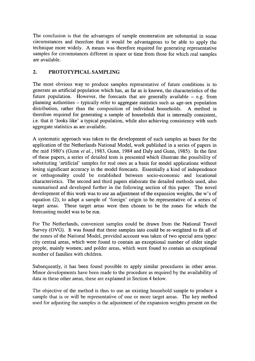The conclusion is that the advantages of sample enumeration are substantial in some circumstances and therefore that it would be advantageous to be able to apply the technique more widely. A means was therefore required for generating representative samples for circumstances different in space or time from those for which real samples are available.

#### 2. PROTOTYPICAL SAMPLING

The most obvious way to produce samples representative of future conditions is to generate an artificial population which has, as far as is known, the characteristics of the future population. However, the forecasts that are generally available  $-$  e.g. from planning authorities - typically refer to aggregate statistics such as age-sex population distribution, rather than the composition of individual households. A method is therefore required for generating a sample of households that is internally consistent, i.e. that it 'looks like' a typical population, while also achieving consistency with such aggregate statistics as are available.

A systematic approach was taken to the development of such samples as bases for the application of the Netherlands National Model, work published in a series of papers in the mid 1980's (Gunn et al., 1983, Gunn, 1984 and Daly and Gunn, 1985). In the first of these papers, a series of detailed tests is presented which illustrate the possibility of substituting 'artificial' samples for real ones as a basis for model applications without losing significant accuracy in the model forecasts. Essentially a kind of independence or orthogonality could be established between socio-economic and locational characteristics. The second and third papers elaborate the detailed methods used, also summarised and developed further in the following section of this paper. The novel development of this work was to use an adjustment of the expansion weights, the w's of equation (2), to adapt a sample of 'foreign' origin to be representative of a series of target areas. These target areas were then chosen to be the zones for which the forecasting model was to be run.

For The Netherlands, convenient samples could be drawn from the National Travel Survey (OVG). It was found that these samples into could be re-weighted to fit all of the zones of the National Model, provided account was taken of two special area types: city central areas, which were found to contain an exceptional number of older single people, mainly women; and polder areas, which were found to contain an exceptional number of families with children.

Subsequently, it has been found possible to apply similar procedures in other areas. Minor developments have been made to the procedure as required by the availability of data in these other areas, these are explained in Section 4 below.

The objective of the method is thus to use an existing household sample to produce a sample that is or will be representative of one or more target areas. The key method used for adjusting the samples is the adjustment of the expansion weights present on the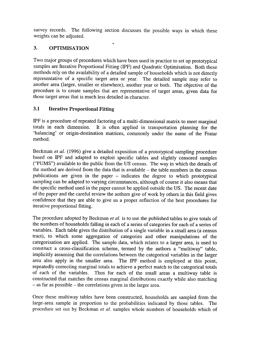survey records. The following section discusses the possible ways in which these weights can be adjusted.

#### 3. OPTIMISATION

Two major groups of procedures which have been used in practice to set up prototypical samples are Iterative Proportional Fitting (IPF) and Quadratic Optimisation. Both these methods rely on the availability of a detailed sample of households which is not directly representative of a specific target area or year. The detailed sample may refer to another area (larger, smaller or elsewhere), another year or both. The objective of the procedure is to create samples that are representative of target areas, given data for those target areas that is much less detailed in character.

#### 3.1 Iterative Proportional Fitting

IPF is a procedure of repeated factoring of a multi-dimensional matrix to meet marginal totals in each dimension. It is often applied in transportation planning for the 'balancing' or origin-destination matrices, commonly under the name of the Fratar method.

Beckman et al. (1996) give a detailed exposition of a prototypical sampling procedure based on IPF and adapted to exploit specific tables and slightly censored samples ("PUMS") available to the public from the US census. The way in which the details of the method are derived from the data that is available - the table numbers in the census publications are given in the paper - indicates the degree to which prototypical sampling can be adapted to varying circumstances, although of course it also means that the specific method used in the paper cannot be applied outside the US. The recent date of the paper and the careful review the authors give of work by others in this field gives confidence that they are able to give us a proper reflection of the best procedures for iterative proportional fitting.

The procedure adopted by Beckman *et al.* is to use the published tables to give totals of the numbers of households falling in each of a series of categories for each of a series of variables. Each table gives the distribution of a single variable in a small area (a census tract), to which some aggregation of categories and other manipulations of the categorisation are applied. The sample data, which relates to a larger area, is used to construct a cross-classification scheme, termed by the authors a "multiway" table, implicitly assuming that the correlations between the categorical variables in the larger area also apply in the smaller area. The IPF method is employed at this point, repeatedly correcting marginal totals to achieve a perfect match to the categorical totals of each of the variables. Thus for each of the small areas a multiway table is constructed that matches the census marginal distributions exactly while also matching  $-$  as far as possible  $-$  the correlations given in the larger area.

Once these multiway tables have been constructed, households are sampled from the large-area sample in proportion to the probabilities indicated by those tables. The procedure set out by Beckman et al. samples whole numbers of households which of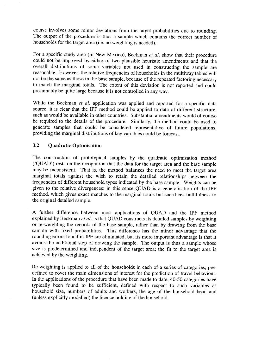course involves some minor deviations from the target probabilities due to rounding. The output of the procedure is thus a sample which contains the correct number of households for the target area (i.e. no weighting is needed).

For a specific study area (in New Mexico), Beckman et al. show that their procedure could not be improved by either of two plausible heuristic amendments and that the overall distributions of some variables not used in constructing the sample are reasonable. However, the relative frequencies of households in the multiway tables will not be the same as those in the base sample, because of the repeated factoring necessary to match the marginal totals. The extent of this deviation is not reported and could presumably be quite large because it is not controlled in any way.

While the Beckman et al. application was applied and reported for a specific data source, it is clear that the IPF method could be applied to data of different structure, such as would be available in other countries. Substantial amendments would of course be required to the details of the procedure. Similarly, the method could be used to generate samples that could be considered representative of future populations, providing the marginal distributions of key variables could be forecast.

#### 3.2 Quadratic Optimisation

The construction of prototypical samples by the quadratic optimisation method ('QUAD') rests on the recognition that the data for the target area and the base sample may be inconsistent. That is, the method balances the need to meet the target area marginal totals against the wish to retain the detailed relationships between the frequencies of different household types indicated by the base sample. Weights can be given to the relative divergences: in this sense QUAD is a generalisation of the IPF method, which gives exact matches to the marginal totals but sacrifices faithfulness to the original detailed sample.

A further difference between most applications of QUAD and the IPF method explained by Beckman et al. is that QUAD constructs its detailed samples by weighting or re-weighting the records of the base sample, rather than by drawing from the base sample with fixed probabilities. This difference has the minor advantage that the rounding errors found in IPF are eliminated, but its more important advantage is that it avoids the additional step of drawing the sample. The output is thus a sample whose size is predetermined and independent of the target area; the fit to the target area is achieved by the weighting.

Re-weighting is applied to all of the households in each of a series of categories, predefined to cover the main dimensions of interest for the prediction of travel behaviour. In the applications of the procedure that have been made to date, 40-50 categories have typically been found to be sufficient, defined with respect to such variables as household size, numbers of adults and workers, the age of the household head and (unless explicitly modelled) the licence holding of the household.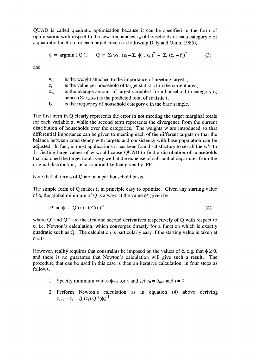QUAD is called quadratic optimisation because it can be specified in the form of optimisation with respect to the new frequencies  $\phi_c$  of households of each category c of a quadratic function for each target area, i.e. (following Daly and Gunn, 1985),

$$
\phi = \text{argmin} (Q), \quad Q = \Sigma_{t} w_{t} . (z_{t} - \Sigma_{c} \phi_{c} . x_{tc})^{2} + \Sigma_{c} (\phi_{c} - f_{c})^{2}
$$
(3)

and

 $W_t$ is the weight attached to the importance of meeting target t;

- $Z_t$ is the value per household of target statistic t in the current area;
- Xtc is the average amount of target variable t for a household in category c; hence  $(\Sigma_c \phi_c.x_{tc})$  is the predicted total of statistic t;

 $f_c$ is the frequency of household category c in the base sample.

The first term in Q clearly represents the error in not meeting the target marginal totals for each variable z, while the second term represents the divergence from the current distribution of households over the categories. The weights w are introduced so that differential importance can be given to meeting each of the different targets or that the balance between consistency with targets and consistency with base population can be adjusted. In fact, in most applications it has been found satisfactory to set all the w's to 1. Setting large values of w would cause QUAD to find a distribution of households that matched the target totals very well at the expense of substantial departures from the original distribution, i.e. a solution like that given by IPF.

Note that all terms of Q are on a per-household basis.

The simple form of Q makes it in principle easy to optimise. Given any starting value of  $\phi$ , the global minimum of Q is always at the value  $\phi^*$  given by

$$
\phi^* = \phi - Q'(\phi) \cdot Q''(\phi)^{-1}
$$
\n(4)

where Q' and Q'' are the first and second derivatives respectively of Q with respect to  $\phi$ , i.e. Newton's calculation, which converges directly for a function which is exactly quadratic such as Q. The calculation is particularly easy if the starting value is taken at  $\phi = 0.$ 

However, reality requires that constraints be imposed on the values of  $\phi$ , e.g. that  $\phi \ge 0$ , and there is no guarantee that Newton's calculation will give such a result. The procedure that can be used in this case is then an iterative calculation, in four steps as follows.

- 1. Specify minimum values  $\phi_{\text{min}}$  for  $\phi$  and set  $\phi_0 = \phi_{\text{min}}$  and  $i = 0$ .
- 2. Perform Newton's calculation as in equation (4) above deriving  $\phi_{i+1} = \phi_i - Q'(\phi_i) . Q''(\phi_i)^{-1}.$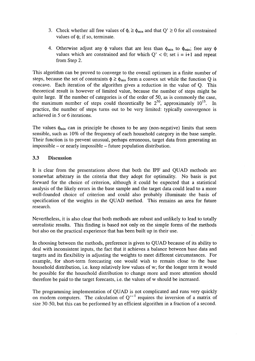- 3. Check whether all free values of  $\phi_i \ge \phi_{\text{min}}$  and that  $Q' \ge 0$  for all constrained values of  $\phi$ ; if so, terminate.
- 4. Otherwise adjust any  $\phi$  values that are less than  $\phi_{min}$  to  $\phi_{min}$ ; free any  $\phi$ values which are constrained and for which  $Q' < 0$ ; set  $i = i+1$  and repeat from Step 2.

This algorithm can be proved to converge to the overall optimum in a finite number of steps, because the set of constraints  $\phi \ge \phi_{min}$  form a convex set while the function Q is concave. Each iteration of the algorithm gives a reduction in the value of Q. This theoretical result is however of limited value, because the number of steps might be quite large. If the number of categories is of the order of 50, as is commonly the case, the maximum number of steps could theoretically be  $2^{50}$ , approximately  $10^{15}$ . In practice, the number of steps turns out to be very limited: typically convergence is achieved in 5 or 6 iterations.

The values  $\phi_{\text{min}}$  can in principle be chosen to be any (non-negative) limits that seem sensible, such as 10% of the frequency of each household category in the base sample. Their function is to prevent unusual, perhaps erroneous, target data from generating an impossible - or nearly impossible - future population distribution.

#### 3.3 Discussion

It is clear from the presentations above that both the IPF and QUAD methods are somewhat arbitrary in the criteria that they adopt for optimality. No basis is put forward for the choice of criterion, although it could be expected that a statistical analysis of the likely errors in the base sample and the target data could lead to a more well-founded choice of criterion and could also probably illuminate the basis of specification of the weights in the QUAD method. This remains an area for future research.

Nevertheless, it is also clear that both methods are robust and unlikely to lead to totally unrealistic results. This finding is based not only on the simple forms of the methods but also on the practical experience that has been built up in their use.

In choosing between the methods, preference is given to QUAD because of its ability to deal with inconsistent inputs, the fact that it achieves a balance between base data and targets and its flexibility in adjusting the weights to meet different circumstances. For example, for short-term forecasting one would wish to remain close to the base household distribution, i.e. keep relatively low values of w; for the longer term it would be possible for the household distribution to change more and more attention should therefore be paid to the target forecasts, i.e. the values of w should be increased.

The programming implementation of QUAD is not complicated and runs very quickly on modern computers. The calculation of  $Q^{\gamma+1}$  requires the inversion of a matrix of size 30-50, but this can be performed by an efficient algorithm in a fraction of a second.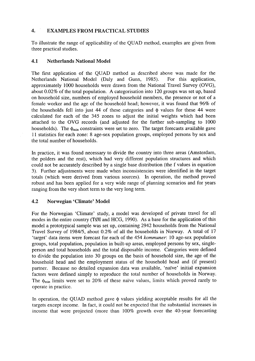## 4. EXAMPLES FROM PRACTICAL STUDIES

To illustrate the range of applicability of the QUAD method, examples are given from three practical studies.

#### 4.1 Netherlands National Model

The first application of the QUAD method as described above was made for the Netherlands National Model (Daly and Gunn, 1985). For this application, Netherlands National Model (Daly and Gunn, 1985). approximately 1000 households were drawn from the National Travel Survey (OVG), about 0.02% of the total population. A categorisation into 120 groups was set up, based on household size, numbers of employed household members, the presence or not of a female worker and the age of the household head; however, it was found that 96% of the households fell into just 44 of these categories and  $\phi$  values for these 44 were calculated for each of the 345 zones to adjust the initial weights which had been attached to the OVG records (and adjusted for the further sub-sampling to 1000 households). The  $\phi_{\text{min}}$  constraints were set to zero. The target forecasts available gave 1l statistics for each zone: 8 age-sex population groups, employed persons by sex and the total number of households.

In practice, it was found necessary to divide the country into three areas (Amsterdam, the polders and the rest), which had very different population structures and which could not be accurately described by a single base distribution (the f values in equation 3). Further adjustments were made when inconsistencies were identified in the target totals (which were derived from various sources). In operation, the method proved robust and has been applied for a very wide range of planning scenarios and for years ranging from the very short term to the very long term.

#### 4.2 Norwegian'Climate' Model

For the Norwegian 'Climate' study, a model was developed of private travel for all modes in the entire country (T@I and HCG, 1990). As a base for the application of this model a prototypical sample was set up, containing 2942 households from the National Travel Survey of 1984/5, about 0.2% of all the households in Norway. A total of 17 'target' data items were forecast for each of the 454 kommuner: 10 age-sex population groups, total population, population in built-up areas, employed persons by sex, singleperson and total households and the total disposable income. Categories were defined to divide the population into 30 groups on the basis of household size, the age of the household head and the employment status of the household head and (if present) partner. Because no detailed expansion data was available, 'naive' initial expansion factors were defined simply to reproduce the total number of households in Norway. The  $\phi_{\text{min}}$  limits were set to 20% of these naïve values, limits which proved rarely to operate in practice.

In operation, the QUAD method gave  $\phi$  values yielding acceptable results for all the targets except income. In fact, it could not be expected that the substantial increases in income that were projected (more than 100% growth over the 4O-year forecasting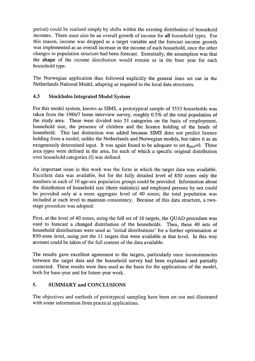period) could be realised simply by shifts within the existing distribution of household incomes. There must also be an overall growth of income for all household types. For this reason, income was dropped as a target variable and the forecast income growth was implemented as an overall increase in the income of each household, once the other changes in population structure had been forecast. Essentially, the assumption was that the shape of the income distribution would remain as in the base year for each household type.

The Norwegian application thus followed explicitly the general lines set out in the Netherlands National Model, adapting as required to the local data structures.

#### 4.3 Stockholm Integrated Model System

For this model system, known as SIMS, a prototypical sample of 3533 households was taken from the 1986/7 home interview survey, roughly 0.5% of the total population of the study area. These were divided into 5l categories on the basis of employment, household size, the presence of children and the licence holding of the heads of household. This last distinction was added because SIMS does not predict licence holding from a model, unlike the Netherlands and Norwegian models, but takes it as an exogenously determined input. It was again found to be adequate to set  $\phi_{\text{min}}=0$ . Three area types were defined in the area, for each of which a specific original distribution over household categories (f) was defined.

An important issue in this work was the form in which the target data was available. Excellent data was available, but for the fully detailed level of 850 zones only the numbers in each of 10 age-sex population groups could be provided. Information about the distribution of household size (three statistics) and employed persons by sex could be provided only at a more aggregate level of 40 zones; the total population was included at each level to maintain consistency. Because of this data structure. a twostage procedure was adopted.

First, at the level of 40 zones, using the full set of 16 targets, the QUAD procedure was used to forecast a changed distribution of the households. Then, these 40 sets of household distributions were used as 'initial distributions' for a further optimisation at 850-zone level, using just the 11 targets that were available at that level. In this way account could be taken of the full content of the data available.

The results gave excellent agreement to the targets, particularly once inconsistencies between the target data and the household survey had been explained and partially corrected. These results were then used as the basis for the applications of the model, both for base-vear and for future-vear work.

### 5. SUMMARY and CONCLUSIONS

The objectives and methods of prototypical sampling have been set out and illustrated with some information from practical applications.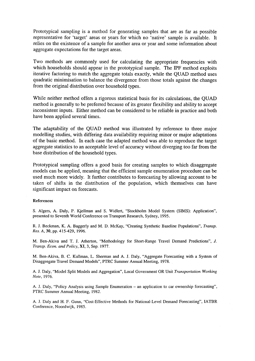Prototypical sampling is a method for generating samples that are as far as possible representative for 'target' areas or years for which no 'native' sample is available. It relies on the existence of a sample for another area or year and some information about aggregate expectations for the target areas.

Two methods are commonly used for calculating the appropriate frequencies with which households should appear in the prototypical sample. The IPF method exploits iterative factoring to match the aggregate totals exactly, while the QUAD method uses quadratic minimisation to balance the divergence from those totals against the changes from the original distribution over household types.

While neither method offers a rigorous statistical basis for its calculations, the QUAD method is generally to be preferred because of its greater flexibility and ability to accept inconsistent inputs. Either method can be considered to be reliable in practice and both have been applied several times.

The adaptability of the QUAD method was illustrated by reference to three major modelling studies, with differing data availability requiring minor or major adaptations of the basic method. In each case the adapted method was able to reproduce the target aggregate statistics to an acceptable level of accuracy without diverging too far from the base distribution of the household types.

Prototypical sampling offers a good basis for creating samples to which disaggregate models can be applied, meaning that the efficient sample enumeration procedure can be used much more widely. It further contributes to forecasting by allowing account to be taken of shifts in the distribution of the population, which themselves can have significant impact on forecasts.

#### References

S. Algers, A. Daly, P. Kjellman and S. Widlert, "Stockholm Model System (SIMS): Application", presented to Seventh World Conference on Transport Research, Sydney, 1995.

R. J. Beckman, K. A. Baggerly and M. D. McKay, "Creating Synthetic Baseline Populations", Transp. Res. A,30, pp. 415-429,1996.

M. Ben-Akiva and T. J. Atherton, "Methodology for Short-Range Travel Demand Predictions", J. Transp. Econ. and Policy, XI, 3, Sep. 1977.

M. Ben-Akiva, B. C. Kullman, L. Sherman and A. J. Daly,'Aggregate Forecasting with a System of Disaggregate Travel Demand Models", PTRC Summer Annual Meeting, 1978.

A. J. Daly, "Model Split Models and Aggregation", Local Government OR Unit Transportation Working Note,1976.

A. J. Daly, "Policy Analysis using Sample Enumeration - an application to car ownership forecasting", PTRC Summer Annual Meeting, 1982.

A. J. Daly and H. F. Gunn, "Cost-Effective Methods for National-Level Demand Forecasting", IATBR Conference, Noordwijk, 1985.